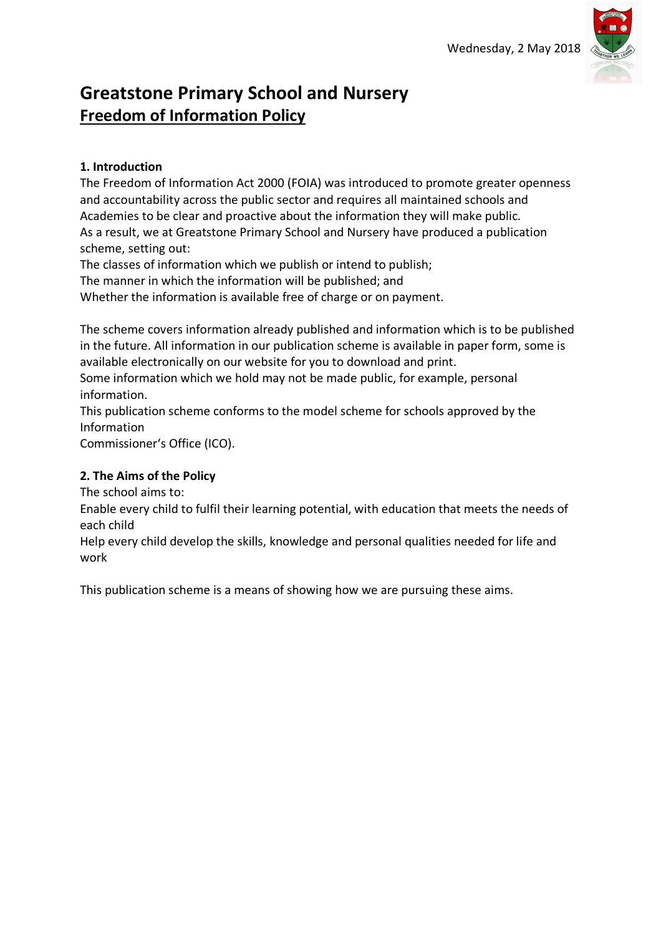

# **Greatstone Primary School and Nursery Freedom of Information Policy**

#### **1. Introduction**

The Freedom of Information Act 2000 (FOIA) was introduced to promote greater openness and accountability across the public sector and requires all maintained schools and Academies to be clear and proactive about the information they will make public. As a result, we at Greatstone Primary School and Nursery have produced a publication scheme, setting out:

The classes of information which we publish or intend to publish;

The manner in which the information will be published; and

Whether the information is available free of charge or on payment.

The scheme covers information already published and information which is to be published in the future. All information in our publication scheme is available in paper form, some is available electronically on our website for you to download and print.

Some information which we hold may not be made public, for example, personal information.

This publication scheme conforms to the model scheme for schools approved by the Information

Commissioner's Office (ICO).

#### **2. The Aims of the Policy**

The school aims to:

Enable every child to fulfil their learning potential, with education that meets the needs of each child

Help every child develop the skills, knowledge and personal qualities needed for life and work

This publication scheme is a means of showing how we are pursuing these aims.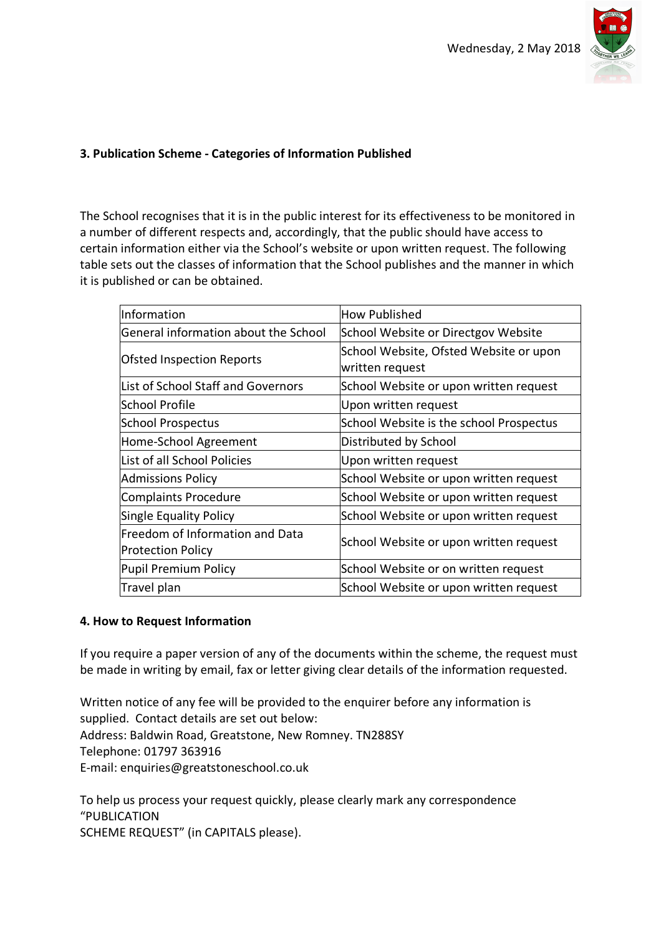

## **3. Publication Scheme - Categories of Information Published**

The School recognises that it is in the public interest for its effectiveness to be monitored in a number of different respects and, accordingly, that the public should have access to certain information either via the School's website or upon written request. The following table sets out the classes of information that the School publishes and the manner in which it is published or can be obtained.

| Information                                                 | <b>How Published</b>                                      |
|-------------------------------------------------------------|-----------------------------------------------------------|
| General information about the School                        | School Website or Directgov Website                       |
| <b>Ofsted Inspection Reports</b>                            | School Website, Ofsted Website or upon<br>written request |
| List of School Staff and Governors                          | School Website or upon written request                    |
| School Profile                                              | Upon written request                                      |
| <b>School Prospectus</b>                                    | School Website is the school Prospectus                   |
| Home-School Agreement                                       | Distributed by School                                     |
| List of all School Policies                                 | Upon written request                                      |
| <b>Admissions Policy</b>                                    | School Website or upon written request                    |
| Complaints Procedure                                        | School Website or upon written request                    |
| Single Equality Policy                                      | School Website or upon written request                    |
| Freedom of Information and Data<br><b>Protection Policy</b> | School Website or upon written request                    |
| Pupil Premium Policy                                        | School Website or on written request                      |
| Travel plan                                                 | School Website or upon written request                    |

### **4. How to Request Information**

If you require a paper version of any of the documents within the scheme, the request must be made in writing by email, fax or letter giving clear details of the information requested.

Written notice of any fee will be provided to the enquirer before any information is supplied. Contact details are set out below: Address: Baldwin Road, Greatstone, New Romney. TN288SY Telephone: 01797 363916 E-mail: enquiries@greatstoneschool.co.uk

To help us process your request quickly, please clearly mark any correspondence "PUBLICATION SCHEME REQUEST" (in CAPITALS please).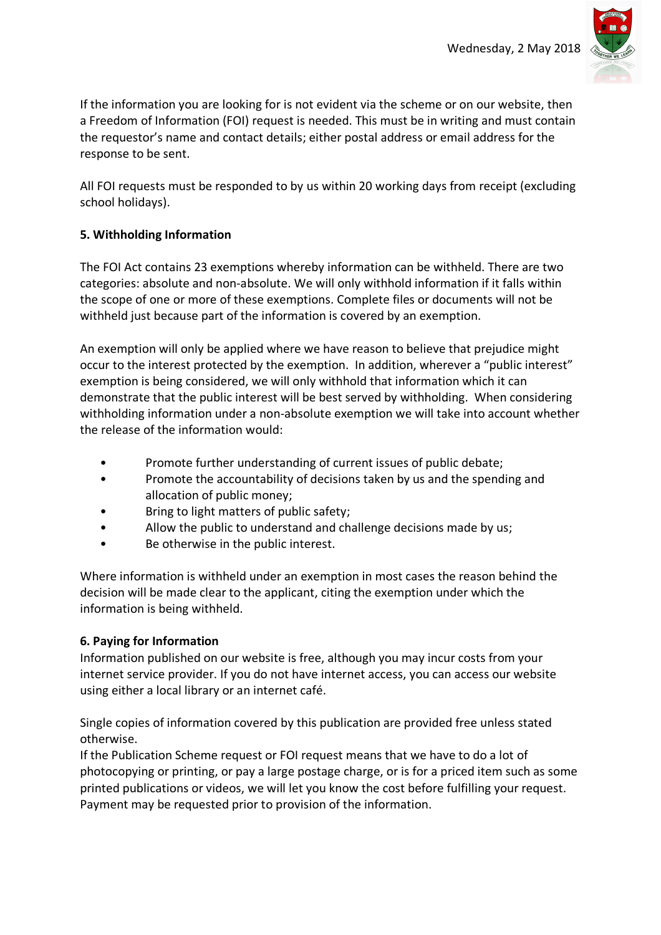

If the information you are looking for is not evident via the scheme or on our website, then a Freedom of Information (FOI) request is needed. This must be in writing and must contain the requestor's name and contact details; either postal address or email address for the response to be sent.

All FOI requests must be responded to by us within 20 working days from receipt (excluding school holidays).

## **5. Withholding Information**

The FOI Act contains 23 exemptions whereby information can be withheld. There are two categories: absolute and non-absolute. We will only withhold information if it falls within the scope of one or more of these exemptions. Complete files or documents will not be withheld just because part of the information is covered by an exemption.

An exemption will only be applied where we have reason to believe that prejudice might occur to the interest protected by the exemption. In addition, wherever a "public interest" exemption is being considered, we will only withhold that information which it can demonstrate that the public interest will be best served by withholding. When considering withholding information under a non-absolute exemption we will take into account whether the release of the information would:

- Promote further understanding of current issues of public debate;
- Promote the accountability of decisions taken by us and the spending and allocation of public money;
- Bring to light matters of public safety;
- Allow the public to understand and challenge decisions made by us;
- Be otherwise in the public interest.

Where information is withheld under an exemption in most cases the reason behind the decision will be made clear to the applicant, citing the exemption under which the information is being withheld.

## **6. Paying for Information**

Information published on our website is free, although you may incur costs from your internet service provider. If you do not have internet access, you can access our website using either a local library or an internet café.

Single copies of information covered by this publication are provided free unless stated otherwise.

If the Publication Scheme request or FOI request means that we have to do a lot of photocopying or printing, or pay a large postage charge, or is for a priced item such as some printed publications or videos, we will let you know the cost before fulfilling your request. Payment may be requested prior to provision of the information.